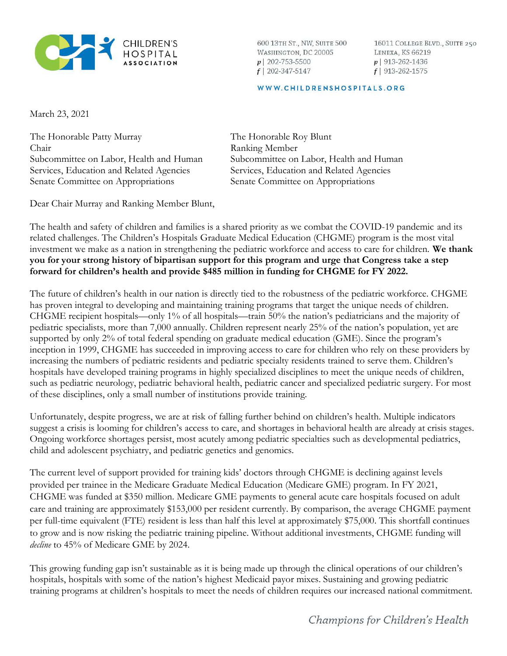

600 13TH ST., NW, SUITE 500 WASHINGTON, DC 20005  $p$ | 202-753-5500  $f$ | 202-347-5147

16011 COLLEGE BLVD., SUITE 250 LENEXA, KS 66219  $p$  913-262-1436  $f$ | 913-262-1575

## WWW.CHILDRENSHOSPITALS.ORG

March 23, 2021

The Honorable Patty Murray Chair Subcommittee on Labor, Health and Human Services, Education and Related Agencies Senate Committee on Appropriations

The Honorable Roy Blunt Ranking Member Subcommittee on Labor, Health and Human Services, Education and Related Agencies Senate Committee on Appropriations

Dear Chair Murray and Ranking Member Blunt,

The health and safety of children and families is a shared priority as we combat the COVID-19 pandemic and its related challenges. The Children's Hospitals Graduate Medical Education (CHGME) program is the most vital investment we make as a nation in strengthening the pediatric workforce and access to care for children. We thank you for your strong history of bipartisan support for this program and urge that Congress take a step forward for children's health and provide \$485 million in funding for CHGME for FY 2022.

The future of children's health in our nation is directly tied to the robustness of the pediatric workforce. CHGME has proven integral to developing and maintaining training programs that target the unique needs of children. CHGME recipient hospitals—only 1% of all hospitals—train 50% the nation's pediatricians and the majority of pediatric specialists, more than 7,000 annually. Children represent nearly 25% of the nation's population, yet are supported by only 2% of total federal spending on graduate medical education (GME). Since the program's inception in 1999, CHGME has succeeded in improving access to care for children who rely on these providers by increasing the numbers of pediatric residents and pediatric specialty residents trained to serve them. Children's hospitals have developed training programs in highly specialized disciplines to meet the unique needs of children, such as pediatric neurology, pediatric behavioral health, pediatric cancer and specialized pediatric surgery. For most of these disciplines, only a small number of institutions provide training.

Unfortunately, despite progress, we are at risk of falling further behind on children's health. Multiple indicators suggest a crisis is looming for children's access to care, and shortages in behavioral health are already at crisis stages. Ongoing workforce shortages persist, most acutely among pediatric specialties such as developmental pediatrics, child and adolescent psychiatry, and pediatric genetics and genomics.

The current level of support provided for training kids' doctors through CHGME is declining against levels provided per trainee in the Medicare Graduate Medical Education (Medicare GME) program. In FY 2021, CHGME was funded at \$350 million. Medicare GME payments to general acute care hospitals focused on adult care and training are approximately \$153,000 per resident currently. By comparison, the average CHGME payment per full-time equivalent (FTE) resident is less than half this level at approximately \$75,000. This shortfall continues to grow and is now risking the pediatric training pipeline. Without additional investments, CHGME funding will decline to 45% of Medicare GME by 2024.

This growing funding gap isn't sustainable as it is being made up through the clinical operations of our children's hospitals, hospitals with some of the nation's highest Medicaid payor mixes. Sustaining and growing pediatric training programs at children's hospitals to meet the needs of children requires our increased national commitment.